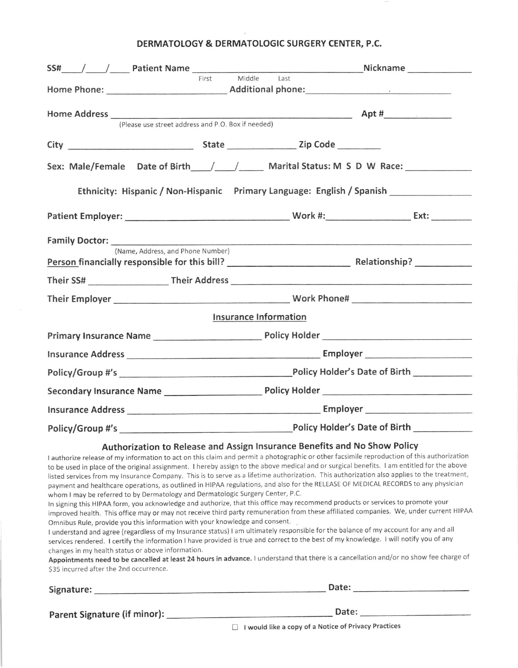## DERMATOLOGY & DERMATOLOGIC SURGERY CENTER, P.C.

| First                                                                                                                                                                                                              | Middle Last                                                                                                                                                                                                                                                                                                                                                                                                                                                                                                                                                                                                                                                                                                                                                                                                                                                                                                                                                                                                                                                                                                                                                                                                                                                                                                                                                     |
|--------------------------------------------------------------------------------------------------------------------------------------------------------------------------------------------------------------------|-----------------------------------------------------------------------------------------------------------------------------------------------------------------------------------------------------------------------------------------------------------------------------------------------------------------------------------------------------------------------------------------------------------------------------------------------------------------------------------------------------------------------------------------------------------------------------------------------------------------------------------------------------------------------------------------------------------------------------------------------------------------------------------------------------------------------------------------------------------------------------------------------------------------------------------------------------------------------------------------------------------------------------------------------------------------------------------------------------------------------------------------------------------------------------------------------------------------------------------------------------------------------------------------------------------------------------------------------------------------|
| (Please use street address and P.O. Box if needed)                                                                                                                                                                 | $\Delta pt \#$                                                                                                                                                                                                                                                                                                                                                                                                                                                                                                                                                                                                                                                                                                                                                                                                                                                                                                                                                                                                                                                                                                                                                                                                                                                                                                                                                  |
|                                                                                                                                                                                                                    |                                                                                                                                                                                                                                                                                                                                                                                                                                                                                                                                                                                                                                                                                                                                                                                                                                                                                                                                                                                                                                                                                                                                                                                                                                                                                                                                                                 |
|                                                                                                                                                                                                                    | Sex: Male/Female Date of Birth / / / Marital Status: M S D W Race:                                                                                                                                                                                                                                                                                                                                                                                                                                                                                                                                                                                                                                                                                                                                                                                                                                                                                                                                                                                                                                                                                                                                                                                                                                                                                              |
|                                                                                                                                                                                                                    | Ethnicity: Hispanic / Non-Hispanic Primary Language: English / Spanish ________________                                                                                                                                                                                                                                                                                                                                                                                                                                                                                                                                                                                                                                                                                                                                                                                                                                                                                                                                                                                                                                                                                                                                                                                                                                                                         |
|                                                                                                                                                                                                                    |                                                                                                                                                                                                                                                                                                                                                                                                                                                                                                                                                                                                                                                                                                                                                                                                                                                                                                                                                                                                                                                                                                                                                                                                                                                                                                                                                                 |
|                                                                                                                                                                                                                    | Family Doctor: New York Contract Contract Contract Contract Contract Contract Contract Contract Contract Contract Contract Contract Contract Contract Contract Contract Contract Contract Contract Contract Contract Contract                                                                                                                                                                                                                                                                                                                                                                                                                                                                                                                                                                                                                                                                                                                                                                                                                                                                                                                                                                                                                                                                                                                                   |
| (Name, Address, and Phone Number)                                                                                                                                                                                  |                                                                                                                                                                                                                                                                                                                                                                                                                                                                                                                                                                                                                                                                                                                                                                                                                                                                                                                                                                                                                                                                                                                                                                                                                                                                                                                                                                 |
|                                                                                                                                                                                                                    |                                                                                                                                                                                                                                                                                                                                                                                                                                                                                                                                                                                                                                                                                                                                                                                                                                                                                                                                                                                                                                                                                                                                                                                                                                                                                                                                                                 |
|                                                                                                                                                                                                                    | Their Employer Mork Phone # Work Phone # 2008 Mork Phone # 2008 Mork Phone # 2008 Mork Phone # 2018 More # 201                                                                                                                                                                                                                                                                                                                                                                                                                                                                                                                                                                                                                                                                                                                                                                                                                                                                                                                                                                                                                                                                                                                                                                                                                                                  |
|                                                                                                                                                                                                                    | Insurance Information                                                                                                                                                                                                                                                                                                                                                                                                                                                                                                                                                                                                                                                                                                                                                                                                                                                                                                                                                                                                                                                                                                                                                                                                                                                                                                                                           |
|                                                                                                                                                                                                                    |                                                                                                                                                                                                                                                                                                                                                                                                                                                                                                                                                                                                                                                                                                                                                                                                                                                                                                                                                                                                                                                                                                                                                                                                                                                                                                                                                                 |
|                                                                                                                                                                                                                    |                                                                                                                                                                                                                                                                                                                                                                                                                                                                                                                                                                                                                                                                                                                                                                                                                                                                                                                                                                                                                                                                                                                                                                                                                                                                                                                                                                 |
|                                                                                                                                                                                                                    |                                                                                                                                                                                                                                                                                                                                                                                                                                                                                                                                                                                                                                                                                                                                                                                                                                                                                                                                                                                                                                                                                                                                                                                                                                                                                                                                                                 |
|                                                                                                                                                                                                                    |                                                                                                                                                                                                                                                                                                                                                                                                                                                                                                                                                                                                                                                                                                                                                                                                                                                                                                                                                                                                                                                                                                                                                                                                                                                                                                                                                                 |
|                                                                                                                                                                                                                    |                                                                                                                                                                                                                                                                                                                                                                                                                                                                                                                                                                                                                                                                                                                                                                                                                                                                                                                                                                                                                                                                                                                                                                                                                                                                                                                                                                 |
|                                                                                                                                                                                                                    |                                                                                                                                                                                                                                                                                                                                                                                                                                                                                                                                                                                                                                                                                                                                                                                                                                                                                                                                                                                                                                                                                                                                                                                                                                                                                                                                                                 |
| whom I may be referred to by Dermatology and Dermatologic Surgery Center, P.C.<br>Omnibus Rule, provide you this information with your knowledge and consent.<br>changes in my health status or above information. | Authorization to Release and Assign Insurance Benefits and No Show Policy<br>I authorize release of my information to act on this claim and permit a photographic or other facsimile reproduction of this authorization<br>to be used in place of the original assignment. I hereby assign to the above medical and or surgical benefits. I am entitled for the above<br>listed services from my Insurance Company. This is to serve as a lifetime authorization. This authorization also applies to the treatment,<br>payment and healthcare operations, as outlined in HIPAA regulations, and also for the RELEASE OF MEDICAL RECORDS to any physician<br>In signing this HIPAA form, you acknowledge and authorize, that this office may recommend products or services to promote your<br>improved health. This office may or may not receive third party remuneration from these affiliated companies. We, under current HIPAA<br>I understand and agree (regardless of my Insurance status) I am ultimately responsible for the balance of my account for any and all<br>services rendered. I certify the information I have provided is true and correct to the best of my knowledge. I will notify you of any<br>Appointments need to be cancelled at least 24 hours in advance. I understand that there is a cancellation and/or no show fee charge of |

S35 incurred after the 2nd occurrence.

| Signature:                   | Date: |  |  |
|------------------------------|-------|--|--|
| Parent Signature (if minor): | Date: |  |  |

 $\Box$  I would like a copy of a Notice of Privacy Practices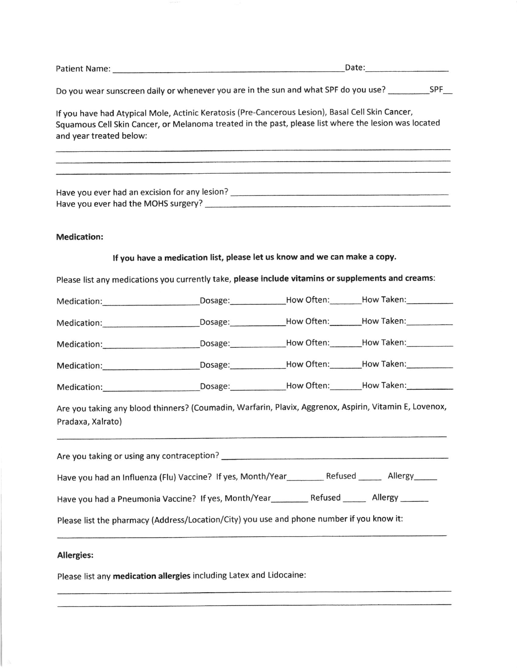|                                                                                                                                                                                                                                     |                                                                                                           | Date: 2008                                                                |  |  |  |  |
|-------------------------------------------------------------------------------------------------------------------------------------------------------------------------------------------------------------------------------------|-----------------------------------------------------------------------------------------------------------|---------------------------------------------------------------------------|--|--|--|--|
|                                                                                                                                                                                                                                     | Do you wear sunscreen daily or whenever you are in the sun and what SPF do you use? _______________SPF___ |                                                                           |  |  |  |  |
| If you have had Atypical Mole, Actinic Keratosis (Pre-Cancerous Lesion), Basal Cell Skin Cancer,<br>Squamous Cell Skin Cancer, or Melanoma treated in the past, please list where the lesion was located<br>and year treated below: |                                                                                                           |                                                                           |  |  |  |  |
|                                                                                                                                                                                                                                     |                                                                                                           |                                                                           |  |  |  |  |
| <b>Medication:</b>                                                                                                                                                                                                                  |                                                                                                           |                                                                           |  |  |  |  |
|                                                                                                                                                                                                                                     |                                                                                                           | If you have a medication list, please let us know and we can make a copy. |  |  |  |  |
| Please list any medications you currently take, please include vitamins or supplements and creams:                                                                                                                                  |                                                                                                           |                                                                           |  |  |  |  |
|                                                                                                                                                                                                                                     |                                                                                                           |                                                                           |  |  |  |  |
|                                                                                                                                                                                                                                     |                                                                                                           |                                                                           |  |  |  |  |
|                                                                                                                                                                                                                                     |                                                                                                           |                                                                           |  |  |  |  |
|                                                                                                                                                                                                                                     |                                                                                                           |                                                                           |  |  |  |  |
|                                                                                                                                                                                                                                     |                                                                                                           |                                                                           |  |  |  |  |
| Are you taking any blood thinners? (Coumadin, Warfarin, Plavix, Aggrenox, Aspirin, Vitamin E, Lovenox,<br>Pradaxa, Xalrato)                                                                                                         |                                                                                                           |                                                                           |  |  |  |  |
|                                                                                                                                                                                                                                     |                                                                                                           |                                                                           |  |  |  |  |
| Have you had an Influenza (Flu) Vaccine? If yes, Month/Year___________ Refused _______ Allergy______                                                                                                                                |                                                                                                           |                                                                           |  |  |  |  |
|                                                                                                                                                                                                                                     |                                                                                                           |                                                                           |  |  |  |  |
| Please list the pharmacy (Address/Location/City) you use and phone number if you know it:                                                                                                                                           |                                                                                                           |                                                                           |  |  |  |  |
| <b>Allergies:</b>                                                                                                                                                                                                                   |                                                                                                           |                                                                           |  |  |  |  |

Please list any medication allergies including Latex and Lidocaine: